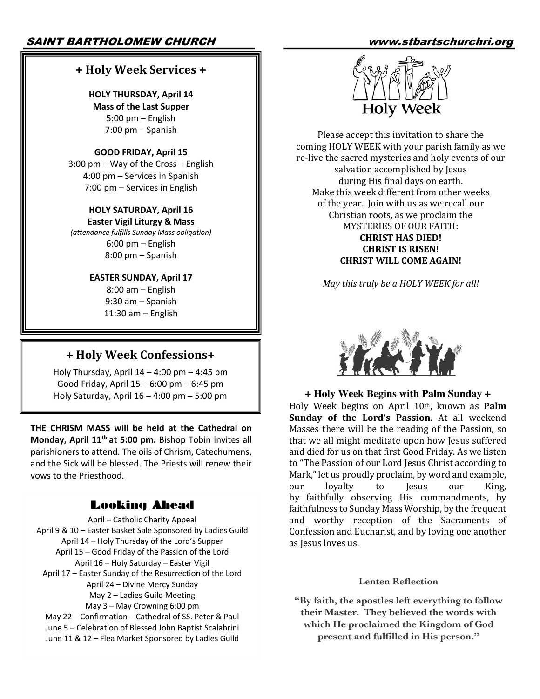# SAINT BARTHOLOMEW CHURCH www.stbartschurchri.org

# **+ Holy Week Services +**

# **HOLY THURSDAY, April 14**

**Mass of the Last Supper** 5:00 pm – English 7:00 pm – Spanish

### **GOOD FRIDAY, April 15**

3:00 pm – Way of the Cross – English 4:00 pm – Services in Spanish 7:00 pm – Services in English

#### **HOLY SATURDAY, April 16 Easter Vigil Liturgy & Mass**

*(attendance fulfills Sunday Mass obligation)* 6:00 pm – English 8:00 pm – Spanish

#### **EASTER SUNDAY, April 17**

8:00 am – English 9:30 am – Spanish 11:30 am – English

# **+ Holy Week Confessions+**

Holy Thursday, April  $14 - 4:00$  pm  $- 4:45$  pm Good Friday, April 15 – 6:00 pm – 6:45 pm Holy Saturday, April 16 – 4:00 pm – 5:00 pm

**THE CHRISM MASS will be held at the Cathedral on Monday, April 11th at 5:00 pm.** Bishop Tobin invites all parishioners to attend. The oils of Chrism, Catechumens, and the Sick will be blessed. The Priests will renew their vows to the Priesthood.

# Looking Ahead

April – Catholic Charity Appeal April 9 & 10 – Easter Basket Sale Sponsored by Ladies Guild April 14 – Holy Thursday of the Lord's Supper April 15 – Good Friday of the Passion of the Lord April 16 – Holy Saturday – Easter Vigil April 17 – Easter Sunday of the Resurrection of the Lord April 24 – Divine Mercy Sunday May 2 – Ladies Guild Meeting May 3 – May Crowning 6:00 pm May 22 – Confirmation – Cathedral of SS. Peter & Paul June 5 – Celebration of Blessed John Baptist Scalabrini June 11 & 12 – Flea Market Sponsored by Ladies Guild



Please accept this invitation to share the coming HOLY WEEK with your parish family as we re-live the sacred mysteries and holy events of our salvation accomplished by Jesus during His final days on earth. Make this week different from other weeks of the year. Join with us as we recall our Christian roots, as we proclaim the MYSTERIES OF OUR FAITH: **CHRIST HAS DIED! CHRIST IS RISEN! CHRIST WILL COME AGAIN!** 

*May this truly be a HOLY WEEK for all!* 



## **+ Holy Week Begins with Palm Sunday +**

Holy Week begins on April 10<sup>th</sup>, known as **Palm Sunday of the Lord's Passion.** At all weekend Masses there will be the reading of the Passion, so that we all might meditate upon how Jesus suffered and died for us on that first Good Friday. As we listen to "The Passion of our Lord Jesus Christ according to Mark," let us proudly proclaim, by word and example, our loyalty to Jesus our King, by faithfully observing His commandments, by faithfulness to Sunday Mass Worship, by the frequent and worthy reception of the Sacraments of Confession and Eucharist, and by loving one another as Iesus loves us.

#### **Lenten Reflection**

**"By faith, the apostles left everything to follow their Master. They believed the words with which He proclaimed the Kingdom of God present and fulfilled in His person."**